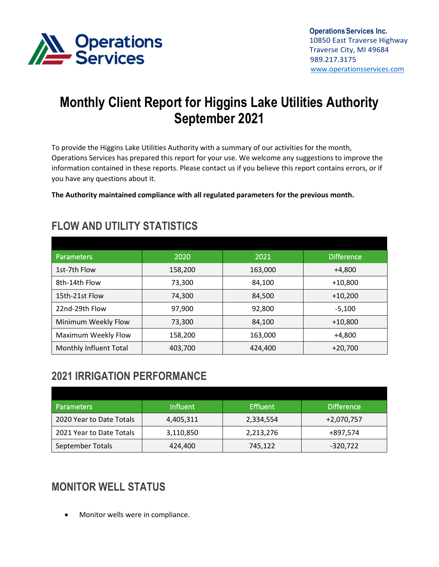

# **Monthly Client Report for Higgins Lake Utilities Authority September 2021**

To provide the Higgins Lake Utilities Authority with a summary of our activities for the month, Operations Services has prepared this report for your use. We welcome any suggestions to improve the information contained in these reports. Please contact us if you believe this report contains errors, or if you have any questions about it.

**The Authority maintained compliance with all regulated parameters for the previous month.**

| <b>Parameters</b>      | 2020    | 2021    | <b>Difference</b> |
|------------------------|---------|---------|-------------------|
| 1st-7th Flow           | 158,200 | 163,000 | +4,800            |
| 8th-14th Flow          | 73,300  | 84,100  | $+10,800$         |
| 15th-21st Flow         | 74,300  | 84,500  | $+10,200$         |
| 22nd-29th Flow         | 97,900  | 92,800  | $-5.100$          |
| Minimum Weekly Flow    | 73,300  | 84,100  | $+10,800$         |
| Maximum Weekly Flow    | 158,200 | 163,000 | +4,800            |
| Monthly Influent Total | 403,700 | 424,400 | $+20,700$         |

# **FLOW AND UTILITY STATISTICS**

# **2021 IRRIGATION PERFORMANCE**

| <b>Parameters</b>        | <b>Influent</b> | <b>Effluent</b> | <b>Difference</b> |
|--------------------------|-----------------|-----------------|-------------------|
| 2020 Year to Date Totals | 4,405,311       | 2,334,554       | +2,070,757        |
| 2021 Year to Date Totals | 3,110,850       | 2,213,276       | +897,574          |
| September Totals         | 424,400         | 745,122         | -320,722          |

# **MONITOR WELL STATUS**

• Monitor wells were in compliance.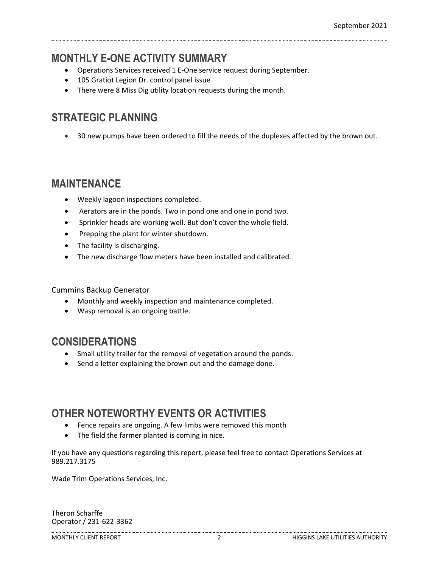### **MONTHLY E-ONE ACTIVITY SUMMARY**

- Operations Services received 1 E-One service request during September.
- 105 Gratiot Legion Dr. control panel issue
- There were 8 Miss Dig utility location requests during the month.

# **STRATEGIC PLANNING**

• 30 new pumps have been ordered to fill the needs of the duplexes affected by the brown out.

#### **MAINTENANCE**

- Weekly lagoon inspections completed.
- Aerators are in the ponds. Two in pond one and one in pond two.
- Sprinkler heads are working well. But don't cover the whole field.
- Prepping the plant for winter shutdown.
- The facility is discharging.
- The new discharge flow meters have been installed and calibrated.

#### Cummins Backup Generator

- Monthly and weekly inspection and maintenance completed.
- Wasp removal is an ongoing battle.

#### **CONSIDERATIONS**

- Small utility trailer for the removal of vegetation around the ponds.
- Send a letter explaining the brown out and the damage done.

### **OTHER NOTEWORTHY EVENTS OR ACTIVITIES**

- Fence repairs are ongoing. A few limbs were removed this month
- The field the farmer planted is coming in nice.

If you have any questions regarding this report, please feel free to contact Operations Services at 989.217.3175

Wade Trim Operations Services, Inc.

Theron Scharffe Operator / 231-622-3362